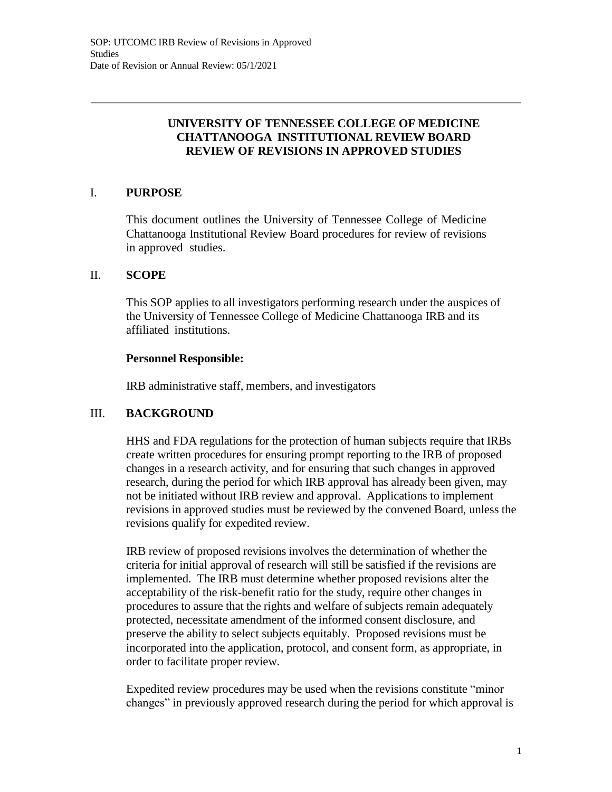# **UNIVERSITY OF TENNESSEE COLLEGE OF MEDICINE CHATTANOOGA INSTITUTIONAL REVIEW BOARD REVIEW OF REVISIONS IN APPROVED STUDIES**

# I. **PURPOSE**

This document outlines the University of Tennessee College of Medicine Chattanooga Institutional Review Board procedures for review of revisions in approved studies.

## II. **SCOPE**

This SOP applies to all investigators performing research under the auspices of the University of Tennessee College of Medicine Chattanooga IRB and its affiliated institutions.

## **Personnel Responsible:**

IRB administrative staff, members, and investigators

# III. **BACKGROUND**

HHS and FDA regulations for the protection of human subjects require that IRBs create written procedures for ensuring prompt reporting to the IRB of proposed changes in a research activity, and for ensuring that such changes in approved research, during the period for which IRB approval has already been given, may not be initiated without IRB review and approval. Applications to implement revisions in approved studies must be reviewed by the convened Board, unless the revisions qualify for expedited review.

IRB review of proposed revisions involves the determination of whether the criteria for initial approval of research will still be satisfied if the revisions are implemented. The IRB must determine whether proposed revisions alter the acceptability of the risk-benefit ratio for the study, require other changes in procedures to assure that the rights and welfare of subjects remain adequately protected, necessitate amendment of the informed consent disclosure, and preserve the ability to select subjects equitably. Proposed revisions must be incorporated into the application, protocol, and consent form, as appropriate, in order to facilitate proper review.

Expedited review procedures may be used when the revisions constitute "minor changes" in previously approved research during the period for which approval is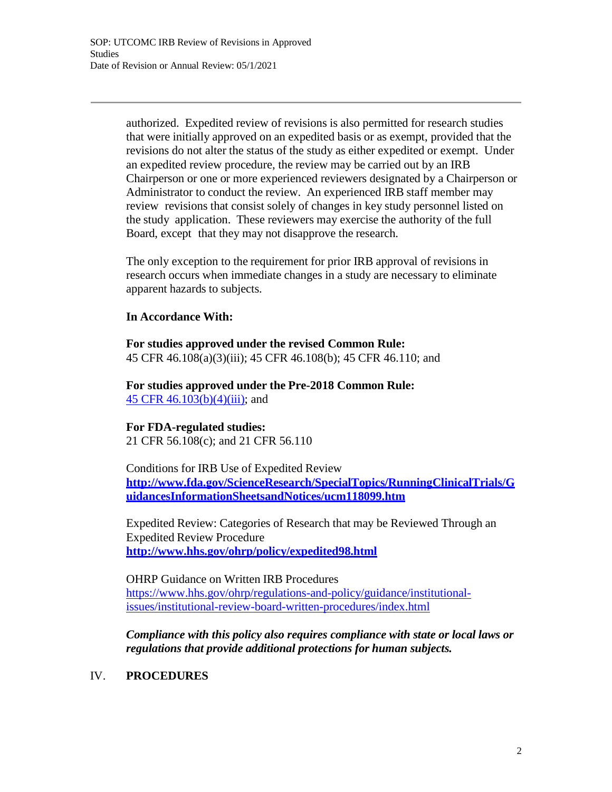authorized. Expedited review of revisions is also permitted for research studies that were initially approved on an expedited basis or as exempt, provided that the revisions do not alter the status of the study as either expedited or exempt. Under an expedited review procedure, the review may be carried out by an IRB Chairperson or one or more experienced reviewers designated by a Chairperson or Administrator to conduct the review. An experienced IRB staff member may review revisions that consist solely of changes in key study personnel listed on the study application. These reviewers may exercise the authority of the full Board, except that they may not disapprove the research.

The only exception to the requirement for prior IRB approval of revisions in research occurs when immediate changes in a study are necessary to eliminate apparent hazards to subjects.

#### **In Accordance With:**

**For studies approved under the revised Common Rule:** 45 CFR 46.108(a)(3)(iii); 45 CFR 46.108(b); 45 CFR 46.110; and

**For studies approved under the Pre-2018 Common Rule:** 45 CFR 46.103(b)(4)(iii); and

#### **For FDA-regulated studies:**

21 CFR 56.108(c); and 21 CFR 56.110

Conditions for IRB Use of Expedited Review **<http://www.fda.gov/ScienceResearch/SpecialTopics/RunningClinicalTrials/G> uidancesInformationSheetsandNotices/ucm118099.htm**

Expedited Review: Categories of Research that may be Reviewed Through an Expedited Review Procedure **<http://www.hhs.gov/ohrp/policy/expedited98.html>**

OHRP Guidance on Written IRB Procedures https:/[/www.hhs.gov/ohrp/regulations-and-policy/guidance/institutional](http://www.hhs.gov/ohrp/regulations-and-policy/guidance/institutional-)issues/institutional-review-board-written-procedures/index.html

*Compliance with this policy also requires compliance with state or local laws or regulations that provide additional protections for human subjects.*

#### IV. **PROCEDURES**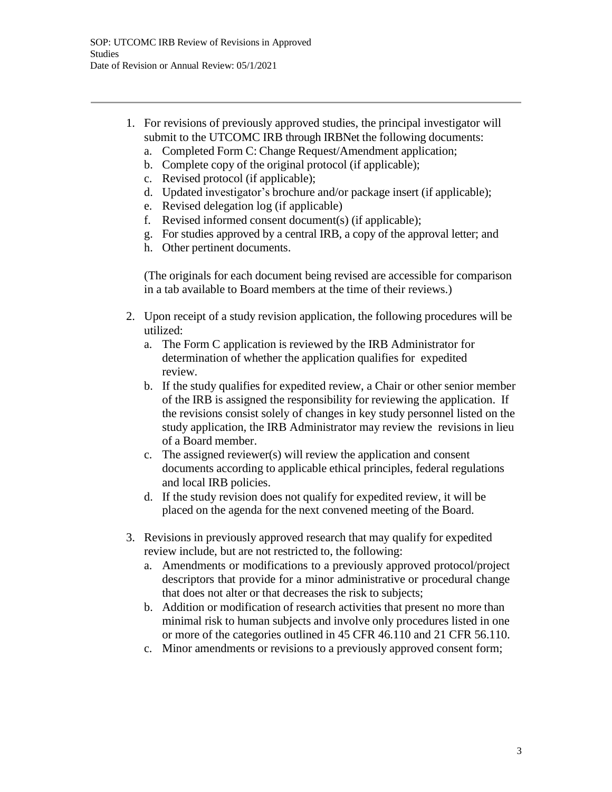- 1. For revisions of previously approved studies, the principal investigator will submit to the UTCOMC IRB through IRBNet the following documents:
	- a. Completed Form C: Change Request/Amendment application;
	- b. Complete copy of the original protocol (if applicable);
	- c. Revised protocol (if applicable);
	- d. Updated investigator's brochure and/or package insert (if applicable);
	- e. Revised delegation log (if applicable)
	- f. Revised informed consent document(s) (if applicable);
	- g. For studies approved by a central IRB, a copy of the approval letter; and
	- h. Other pertinent documents.

(The originals for each document being revised are accessible for comparison in a tab available to Board members at the time of their reviews.)

- 2. Upon receipt of a study revision application, the following procedures will be utilized:
	- a. The Form C application is reviewed by the IRB Administrator for determination of whether the application qualifies for expedited review.
	- b. If the study qualifies for expedited review, a Chair or other senior member of the IRB is assigned the responsibility for reviewing the application. If the revisions consist solely of changes in key study personnel listed on the study application, the IRB Administrator may review the revisions in lieu of a Board member.
	- c. The assigned reviewer(s) will review the application and consent documents according to applicable ethical principles, federal regulations and local IRB policies.
	- d. If the study revision does not qualify for expedited review, it will be placed on the agenda for the next convened meeting of the Board.
- 3. Revisions in previously approved research that may qualify for expedited review include, but are not restricted to, the following:
	- a. Amendments or modifications to a previously approved protocol/project descriptors that provide for a minor administrative or procedural change that does not alter or that decreases the risk to subjects;
	- b. Addition or modification of research activities that present no more than minimal risk to human subjects and involve only procedures listed in one or more of the categories outlined in 45 CFR 46.110 and 21 CFR 56.110.
	- c. Minor amendments or revisions to a previously approved consent form;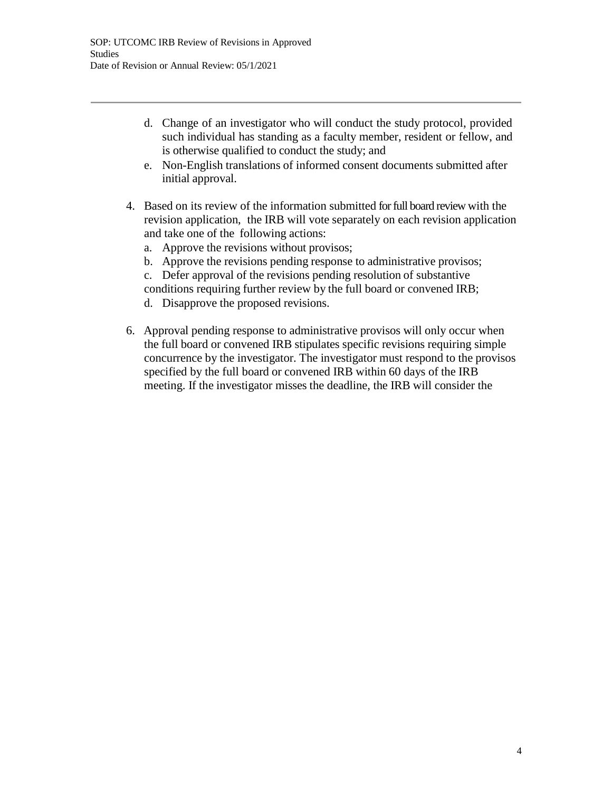- d. Change of an investigator who will conduct the study protocol, provided such individual has standing as a faculty member, resident or fellow, and is otherwise qualified to conduct the study; and
- e. Non-English translations of informed consent documents submitted after initial approval.
- 4. Based on its review of the information submitted for full board review with the revision application, the IRB will vote separately on each revision application and take one of the following actions:
	- a. Approve the revisions without provisos;
	- b. Approve the revisions pending response to administrative provisos;
	- c. Defer approval of the revisions pending resolution of substantive conditions requiring further review by the full board or convened IRB;
	- d. Disapprove the proposed revisions.
- 6. Approval pending response to administrative provisos will only occur when the full board or convened IRB stipulates specific revisions requiring simple concurrence by the investigator. The investigator must respond to the provisos specified by the full board or convened IRB within 60 days of the IRB meeting. If the investigator misses the deadline, the IRB will consider the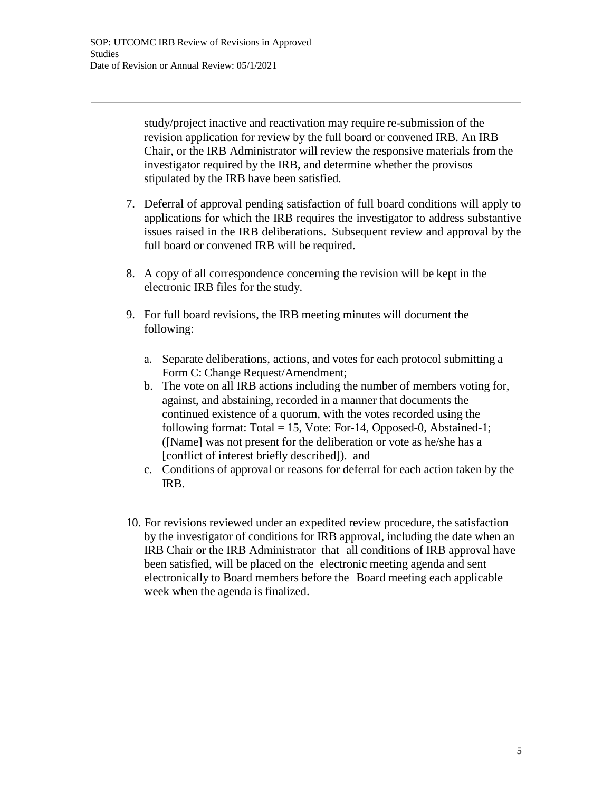study/project inactive and reactivation may require re-submission of the revision application for review by the full board or convened IRB. An IRB Chair, or the IRB Administrator will review the responsive materials from the investigator required by the IRB, and determine whether the provisos stipulated by the IRB have been satisfied.

- 7. Deferral of approval pending satisfaction of full board conditions will apply to applications for which the IRB requires the investigator to address substantive issues raised in the IRB deliberations. Subsequent review and approval by the full board or convened IRB will be required.
- 8. A copy of all correspondence concerning the revision will be kept in the electronic IRB files for the study.
- 9. For full board revisions, the IRB meeting minutes will document the following:
	- a. Separate deliberations, actions, and votes for each protocol submitting a Form C: Change Request/Amendment;
	- b. The vote on all IRB actions including the number of members voting for, against, and abstaining, recorded in a manner that documents the continued existence of a quorum, with the votes recorded using the following format: Total = 15, Vote: For-14, Opposed-0, Abstained-1; ([Name] was not present for the deliberation or vote as he/she has a [conflict of interest briefly described]). and
	- c. Conditions of approval or reasons for deferral for each action taken by the IRB.
- 10. For revisions reviewed under an expedited review procedure, the satisfaction by the investigator of conditions for IRB approval, including the date when an IRB Chair or the IRB Administrator that all conditions of IRB approval have been satisfied, will be placed on the electronic meeting agenda and sent electronically to Board members before the Board meeting each applicable week when the agenda is finalized.